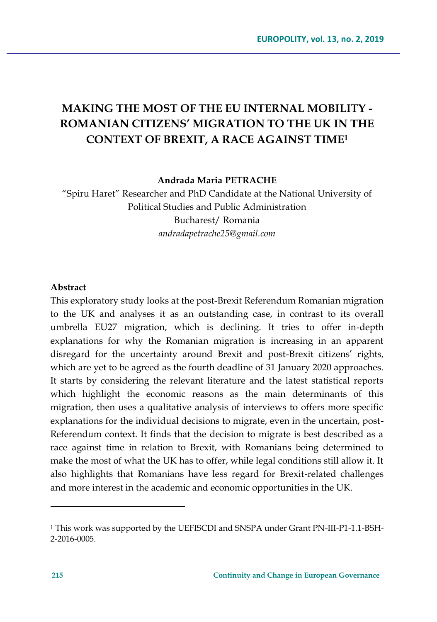# **MAKING THE MOST OF THE EU INTERNAL MOBILITY - ROMANIAN CITIZENS' MIGRATION TO THE UK IN THE CONTEXT OF BREXIT, A RACE AGAINST TIME<sup>1</sup>**

**Andrada Maria PETRACHE**

"Spiru Haret" Researcher and PhD Candidate at the National University of Political Studies and Public Administration Bucharest/ Romania *andradapetrache25@gmail.com*

### **Abstract**

This exploratory study looks at the post-Brexit Referendum Romanian migration to the UK and analyses it as an outstanding case, in contrast to its overall umbrella EU27 migration, which is declining. It tries to offer in-depth explanations for why the Romanian migration is increasing in an apparent disregard for the uncertainty around Brexit and post-Brexit citizens' rights, which are yet to be agreed as the fourth deadline of 31 January 2020 approaches. It starts by considering the relevant literature and the latest statistical reports which highlight the economic reasons as the main determinants of this migration, then uses a qualitative analysis of interviews to offers more specific explanations for the individual decisions to migrate, even in the uncertain, post-Referendum context. It finds that the decision to migrate is best described as a race against time in relation to Brexit, with Romanians being determined to make the most of what the UK has to offer, while legal conditions still allow it. It also highlights that Romanians have less regard for Brexit-related challenges and more interest in the academic and economic opportunities in the UK.

 $\overline{a}$ 

<sup>1</sup> This work was supported by the UEFISCDI and SNSPA under Grant PN-III-P1-1.1-BSH-2-2016-0005.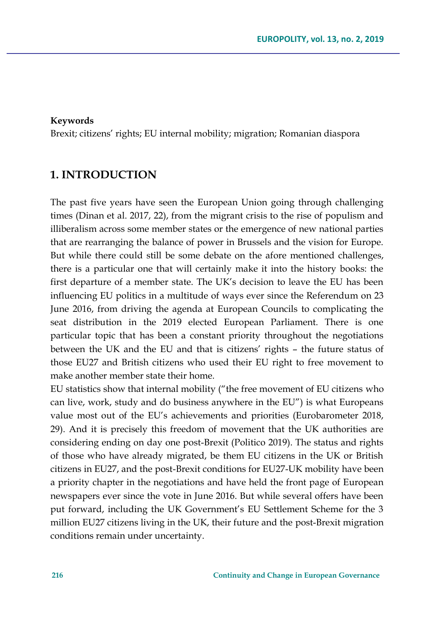### **Keywords**

Brexit; citizens' rights; EU internal mobility; migration; Romanian diaspora

## **1. INTRODUCTION**

The past five years have seen the European Union going through challenging times (Dinan et al. 2017, 22), from the migrant crisis to the rise of populism and illiberalism across some member states or the emergence of new national parties that are rearranging the balance of power in Brussels and the vision for Europe. But while there could still be some debate on the afore mentioned challenges, there is a particular one that will certainly make it into the history books: the first departure of a member state. The UK's decision to leave the EU has been influencing EU politics in a multitude of ways ever since the Referendum on 23 June 2016, from driving the agenda at European Councils to complicating the seat distribution in the 2019 elected European Parliament. There is one particular topic that has been a constant priority throughout the negotiations between the UK and the EU and that is citizens' rights – the future status of those EU27 and British citizens who used their EU right to free movement to make another member state their home.

EU statistics show that internal mobility ("the free movement of EU citizens who can live, work, study and do business anywhere in the EU") is what Europeans value most out of the EU's achievements and priorities (Eurobarometer 2018, 29). And it is precisely this freedom of movement that the UK authorities are considering ending on day one post-Brexit (Politico 2019). The status and rights of those who have already migrated, be them EU citizens in the UK or British citizens in EU27, and the post-Brexit conditions for EU27-UK mobility have been a priority chapter in the negotiations and have held the front page of European newspapers ever since the vote in June 2016. But while several offers have been put forward, including the UK Government's EU Settlement Scheme for the 3 million EU27 citizens living in the UK, their future and the post-Brexit migration conditions remain under uncertainty.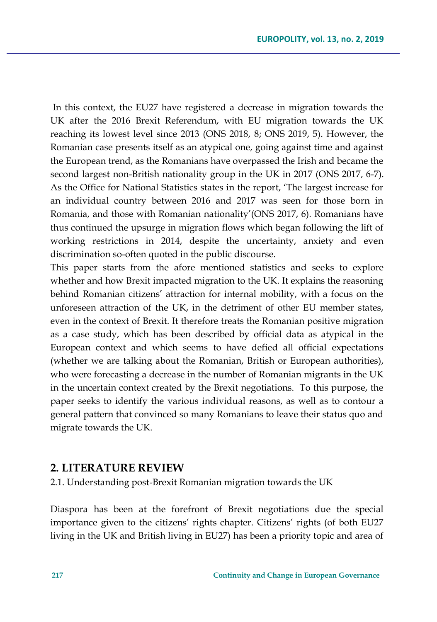In this context, the EU27 have registered a decrease in migration towards the UK after the 2016 Brexit Referendum, with EU migration towards the UK reaching its lowest level since 2013 (ONS 2018, 8; ONS 2019, 5). However, the Romanian case presents itself as an atypical one, going against time and against the European trend, as the Romanians have overpassed the Irish and became the second largest non-British nationality group in the UK in 2017 (ONS 2017, 6-7). As the Office for National Statistics states in the report, 'The largest increase for an individual country between 2016 and 2017 was seen for those born in Romania, and those with Romanian nationality'(ONS 2017, 6). Romanians have thus continued the upsurge in migration flows which began following the lift of working restrictions in 2014, despite the uncertainty, anxiety and even discrimination so-often quoted in the public discourse.

This paper starts from the afore mentioned statistics and seeks to explore whether and how Brexit impacted migration to the UK. It explains the reasoning behind Romanian citizens' attraction for internal mobility, with a focus on the unforeseen attraction of the UK, in the detriment of other EU member states, even in the context of Brexit. It therefore treats the Romanian positive migration as a case study, which has been described by official data as atypical in the European context and which seems to have defied all official expectations (whether we are talking about the Romanian, British or European authorities), who were forecasting a decrease in the number of Romanian migrants in the UK in the uncertain context created by the Brexit negotiations. To this purpose, the paper seeks to identify the various individual reasons, as well as to contour a general pattern that convinced so many Romanians to leave their status quo and migrate towards the UK.

### **2. LITERATURE REVIEW**

2.1. Understanding post-Brexit Romanian migration towards the UK

Diaspora has been at the forefront of Brexit negotiations due the special importance given to the citizens' rights chapter. Citizens' rights (of both EU27 living in the UK and British living in EU27) has been a priority topic and area of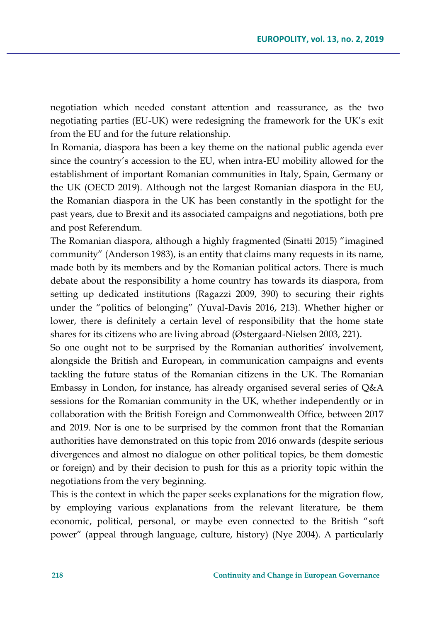negotiation which needed constant attention and reassurance, as the two negotiating parties (EU-UK) were redesigning the framework for the UK's exit from the EU and for the future relationship.

In Romania, diaspora has been a key theme on the national public agenda ever since the country's accession to the EU, when intra-EU mobility allowed for the establishment of important Romanian communities in Italy, Spain, Germany or the UK (OECD 2019). Although not the largest Romanian diaspora in the EU, the Romanian diaspora in the UK has been constantly in the spotlight for the past years, due to Brexit and its associated campaigns and negotiations, both pre and post Referendum.

The Romanian diaspora, although a highly fragmented (Sinatti 2015) "imagined community" (Anderson 1983), is an entity that claims many requests in its name, made both by its members and by the Romanian political actors. There is much debate about the responsibility a home country has towards its diaspora, from setting up dedicated institutions (Ragazzi 2009, 390) to securing their rights under the "politics of belonging" (Yuval-Davis 2016, 213). Whether higher or lower, there is definitely a certain level of responsibility that the home state shares for its citizens who are living abroad (Østergaard-Nielsen 2003, 221).

So one ought not to be surprised by the Romanian authorities' involvement, alongside the British and European, in communication campaigns and events tackling the future status of the Romanian citizens in the UK. The Romanian Embassy in London, for instance, has already organised several series of Q&A sessions for the Romanian community in the UK, whether independently or in collaboration with the British Foreign and Commonwealth Office, between 2017 and 2019. Nor is one to be surprised by the common front that the Romanian authorities have demonstrated on this topic from 2016 onwards (despite serious divergences and almost no dialogue on other political topics, be them domestic or foreign) and by their decision to push for this as a priority topic within the negotiations from the very beginning.

This is the context in which the paper seeks explanations for the migration flow, by employing various explanations from the relevant literature, be them economic, political, personal, or maybe even connected to the British "soft power" (appeal through language, culture, history) (Nye 2004). A particularly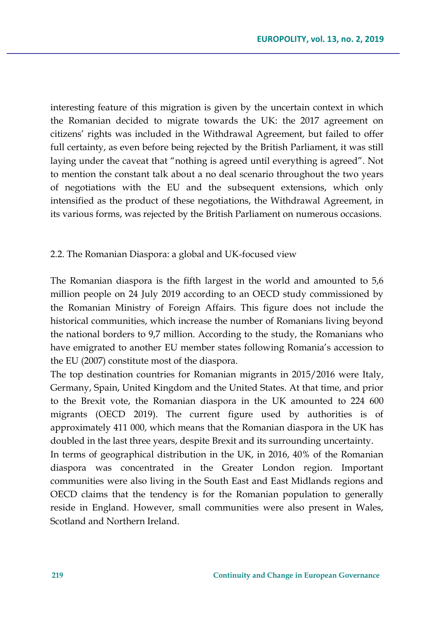interesting feature of this migration is given by the uncertain context in which the Romanian decided to migrate towards the UK: the 2017 agreement on citizens' rights was included in the Withdrawal Agreement, but failed to offer full certainty, as even before being rejected by the British Parliament, it was still laying under the caveat that "nothing is agreed until everything is agreed". Not to mention the constant talk about a no deal scenario throughout the two years of negotiations with the EU and the subsequent extensions, which only intensified as the product of these negotiations, the Withdrawal Agreement, in its various forms, was rejected by the British Parliament on numerous occasions.

### 2.2. The Romanian Diaspora: a global and UK-focused view

The Romanian diaspora is the fifth largest in the world and amounted to 5,6 million people on 24 July 2019 according to an OECD study commissioned by the Romanian Ministry of Foreign Affairs. This figure does not include the historical communities, which increase the number of Romanians living beyond the national borders to 9,7 million. According to the study, the Romanians who have emigrated to another EU member states following Romania's accession to the EU (2007) constitute most of the diaspora.

The top destination countries for Romanian migrants in 2015/2016 were Italy, Germany, Spain, United Kingdom and the United States. At that time, and prior to the Brexit vote, the Romanian diaspora in the UK amounted to 224 600 migrants (OECD 2019). The current figure used by authorities is of approximately 411 000, which means that the Romanian diaspora in the UK has doubled in the last three years, despite Brexit and its surrounding uncertainty.

In terms of geographical distribution in the UK, in 2016, 40% of the Romanian diaspora was concentrated in the Greater London region. Important communities were also living in the South East and East Midlands regions and OECD claims that the tendency is for the Romanian population to generally reside in England. However, small communities were also present in Wales, Scotland and Northern Ireland.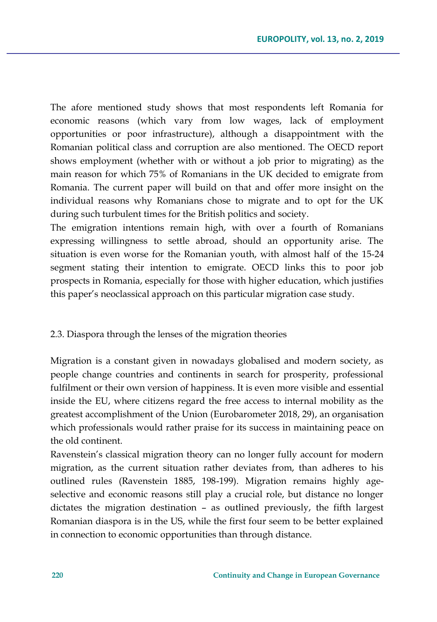The afore mentioned study shows that most respondents left Romania for economic reasons (which vary from low wages, lack of employment opportunities or poor infrastructure), although a disappointment with the Romanian political class and corruption are also mentioned. The OECD report shows employment (whether with or without a job prior to migrating) as the main reason for which 75% of Romanians in the UK decided to emigrate from Romania. The current paper will build on that and offer more insight on the individual reasons why Romanians chose to migrate and to opt for the UK during such turbulent times for the British politics and society.

The emigration intentions remain high, with over a fourth of Romanians expressing willingness to settle abroad, should an opportunity arise. The situation is even worse for the Romanian youth, with almost half of the 15-24 segment stating their intention to emigrate. OECD links this to poor job prospects in Romania, especially for those with higher education, which justifies this paper's neoclassical approach on this particular migration case study.

### 2.3. Diaspora through the lenses of the migration theories

Migration is a constant given in nowadays globalised and modern society, as people change countries and continents in search for prosperity, professional fulfilment or their own version of happiness. It is even more visible and essential inside the EU, where citizens regard the free access to internal mobility as the greatest accomplishment of the Union (Eurobarometer 2018, 29), an organisation which professionals would rather praise for its success in maintaining peace on the old continent.

Ravenstein's classical migration theory can no longer fully account for modern migration, as the current situation rather deviates from, than adheres to his outlined rules (Ravenstein 1885, 198-199). Migration remains highly ageselective and economic reasons still play a crucial role, but distance no longer dictates the migration destination – as outlined previously, the fifth largest Romanian diaspora is in the US, while the first four seem to be better explained in connection to economic opportunities than through distance.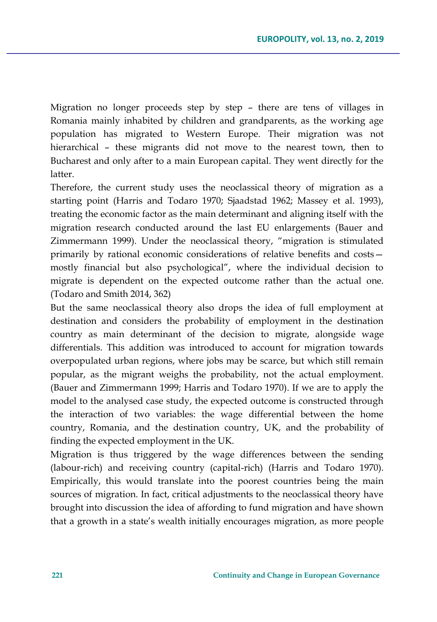Migration no longer proceeds step by step – there are tens of villages in Romania mainly inhabited by children and grandparents, as the working age population has migrated to Western Europe. Their migration was not hierarchical – these migrants did not move to the nearest town, then to Bucharest and only after to a main European capital. They went directly for the latter.

Therefore, the current study uses the neoclassical theory of migration as a starting point (Harris and Todaro 1970; Sjaadstad 1962; Massey et al. 1993), treating the economic factor as the main determinant and aligning itself with the migration research conducted around the last EU enlargements (Bauer and Zimmermann 1999). Under the neoclassical theory, "migration is stimulated primarily by rational economic considerations of relative benefits and costs mostly financial but also psychological", where the individual decision to migrate is dependent on the expected outcome rather than the actual one. (Todaro and Smith 2014, 362)

But the same neoclassical theory also drops the idea of full employment at destination and considers the probability of employment in the destination country as main determinant of the decision to migrate, alongside wage differentials. This addition was introduced to account for migration towards overpopulated urban regions, where jobs may be scarce, but which still remain popular, as the migrant weighs the probability, not the actual employment. (Bauer and Zimmermann 1999; Harris and Todaro 1970). If we are to apply the model to the analysed case study, the expected outcome is constructed through the interaction of two variables: the wage differential between the home country, Romania, and the destination country, UK, and the probability of finding the expected employment in the UK.

Migration is thus triggered by the wage differences between the sending (labour-rich) and receiving country (capital-rich) (Harris and Todaro 1970). Empirically, this would translate into the poorest countries being the main sources of migration. In fact, critical adjustments to the neoclassical theory have brought into discussion the idea of affording to fund migration and have shown that a growth in a state's wealth initially encourages migration, as more people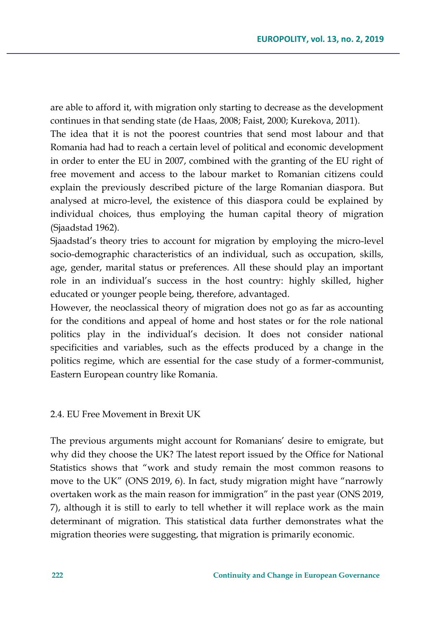are able to afford it, with migration only starting to decrease as the development continues in that sending state (de Haas, 2008; Faist, 2000; Kurekova, 2011).

The idea that it is not the poorest countries that send most labour and that Romania had had to reach a certain level of political and economic development in order to enter the EU in 2007, combined with the granting of the EU right of free movement and access to the labour market to Romanian citizens could explain the previously described picture of the large Romanian diaspora. But analysed at micro-level, the existence of this diaspora could be explained by individual choices, thus employing the human capital theory of migration (Sjaadstad 1962).

Sjaadstad's theory tries to account for migration by employing the micro-level socio-demographic characteristics of an individual, such as occupation, skills, age, gender, marital status or preferences. All these should play an important role in an individual's success in the host country: highly skilled, higher educated or younger people being, therefore, advantaged.

However, the neoclassical theory of migration does not go as far as accounting for the conditions and appeal of home and host states or for the role national politics play in the individual's decision. It does not consider national specificities and variables, such as the effects produced by a change in the politics regime, which are essential for the case study of a former-communist, Eastern European country like Romania.

### 2.4. EU Free Movement in Brexit UK

The previous arguments might account for Romanians' desire to emigrate, but why did they choose the UK? The latest report issued by the Office for National Statistics shows that "work and study remain the most common reasons to move to the UK" (ONS 2019, 6). In fact, study migration might have "narrowly overtaken work as the main reason for immigration" in the past year (ONS 2019, 7), although it is still to early to tell whether it will replace work as the main determinant of migration. This statistical data further demonstrates what the migration theories were suggesting, that migration is primarily economic.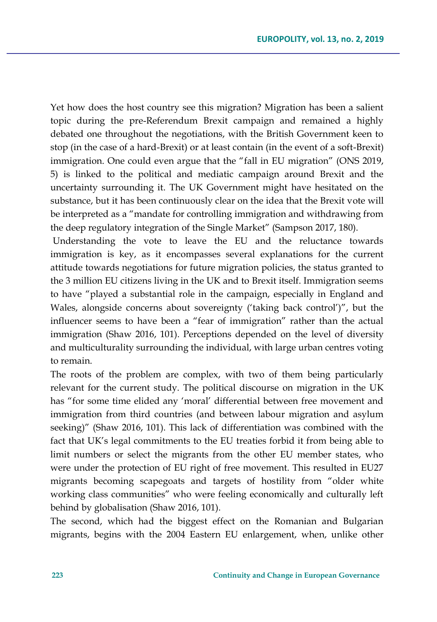Yet how does the host country see this migration? Migration has been a salient topic during the pre-Referendum Brexit campaign and remained a highly debated one throughout the negotiations, with the British Government keen to stop (in the case of a hard-Brexit) or at least contain (in the event of a soft-Brexit) immigration. One could even argue that the "fall in EU migration" (ONS 2019, 5) is linked to the political and mediatic campaign around Brexit and the uncertainty surrounding it. The UK Government might have hesitated on the substance, but it has been continuously clear on the idea that the Brexit vote will be interpreted as a "mandate for controlling immigration and withdrawing from the deep regulatory integration of the Single Market" (Sampson 2017, 180).

Understanding the vote to leave the EU and the reluctance towards immigration is key, as it encompasses several explanations for the current attitude towards negotiations for future migration policies, the status granted to the 3 million EU citizens living in the UK and to Brexit itself. Immigration seems to have "played a substantial role in the campaign, especially in England and Wales, alongside concerns about sovereignty ('taking back control')", but the influencer seems to have been a "fear of immigration" rather than the actual immigration (Shaw 2016, 101). Perceptions depended on the level of diversity and multiculturality surrounding the individual, with large urban centres voting to remain.

The roots of the problem are complex, with two of them being particularly relevant for the current study. The political discourse on migration in the UK has "for some time elided any 'moral' differential between free movement and immigration from third countries (and between labour migration and asylum seeking)" (Shaw 2016, 101). This lack of differentiation was combined with the fact that UK's legal commitments to the EU treaties forbid it from being able to limit numbers or select the migrants from the other EU member states, who were under the protection of EU right of free movement. This resulted in EU27 migrants becoming scapegoats and targets of hostility from "older white working class communities" who were feeling economically and culturally left behind by globalisation (Shaw 2016, 101).

The second, which had the biggest effect on the Romanian and Bulgarian migrants, begins with the 2004 Eastern EU enlargement, when, unlike other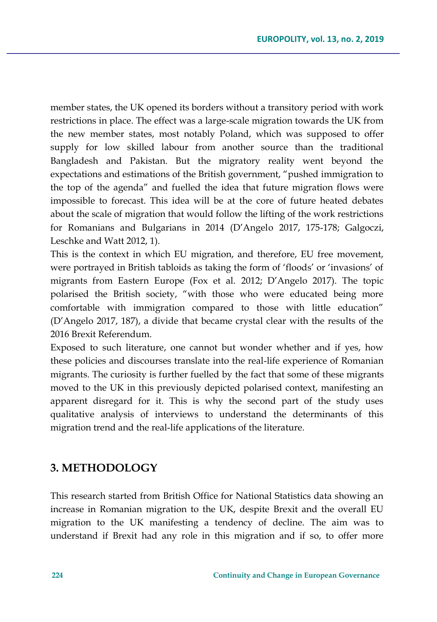member states, the UK opened its borders without a transitory period with work restrictions in place. The effect was a large-scale migration towards the UK from the new member states, most notably Poland, which was supposed to offer supply for low skilled labour from another source than the traditional Bangladesh and Pakistan. But the migratory reality went beyond the expectations and estimations of the British government, "pushed immigration to the top of the agenda" and fuelled the idea that future migration flows were impossible to forecast. This idea will be at the core of future heated debates about the scale of migration that would follow the lifting of the work restrictions for Romanians and Bulgarians in 2014 (D'Angelo 2017, 175-178; Galgoczi, Leschke and Watt 2012, 1).

This is the context in which EU migration, and therefore, EU free movement, were portrayed in British tabloids as taking the form of 'floods' or 'invasions' of migrants from Eastern Europe (Fox et al. 2012; D'Angelo 2017). The topic polarised the British society, "with those who were educated being more comfortable with immigration compared to those with little education" (D'Angelo 2017, 187), a divide that became crystal clear with the results of the 2016 Brexit Referendum.

Exposed to such literature, one cannot but wonder whether and if yes, how these policies and discourses translate into the real-life experience of Romanian migrants. The curiosity is further fuelled by the fact that some of these migrants moved to the UK in this previously depicted polarised context, manifesting an apparent disregard for it. This is why the second part of the study uses qualitative analysis of interviews to understand the determinants of this migration trend and the real-life applications of the literature.

### **3. METHODOLOGY**

This research started from British Office for National Statistics data showing an increase in Romanian migration to the UK, despite Brexit and the overall EU migration to the UK manifesting a tendency of decline. The aim was to understand if Brexit had any role in this migration and if so, to offer more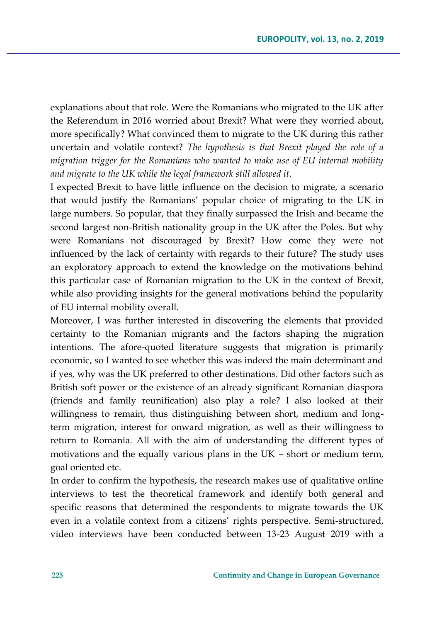explanations about that role. Were the Romanians who migrated to the UK after the Referendum in 2016 worried about Brexit? What were they worried about, more specifically? What convinced them to migrate to the UK during this rather uncertain and volatile context? *The hypothesis is that Brexit played the role of a migration trigger for the Romanians who wanted to make use of EU internal mobility and migrate to the UK while the legal framework still allowed it*.

I expected Brexit to have little influence on the decision to migrate, a scenario that would justify the Romanians' popular choice of migrating to the UK in large numbers. So popular, that they finally surpassed the Irish and became the second largest non-British nationality group in the UK after the Poles. But why were Romanians not discouraged by Brexit? How come they were not influenced by the lack of certainty with regards to their future? The study uses an exploratory approach to extend the knowledge on the motivations behind this particular case of Romanian migration to the UK in the context of Brexit, while also providing insights for the general motivations behind the popularity of EU internal mobility overall.

Moreover, I was further interested in discovering the elements that provided certainty to the Romanian migrants and the factors shaping the migration intentions. The afore-quoted literature suggests that migration is primarily economic, so I wanted to see whether this was indeed the main determinant and if yes, why was the UK preferred to other destinations. Did other factors such as British soft power or the existence of an already significant Romanian diaspora (friends and family reunification) also play a role? I also looked at their willingness to remain, thus distinguishing between short, medium and longterm migration, interest for onward migration, as well as their willingness to return to Romania. All with the aim of understanding the different types of motivations and the equally various plans in the UK – short or medium term, goal oriented etc.

In order to confirm the hypothesis, the research makes use of qualitative online interviews to test the theoretical framework and identify both general and specific reasons that determined the respondents to migrate towards the UK even in a volatile context from a citizens' rights perspective. Semi-structured, video interviews have been conducted between 13-23 August 2019 with a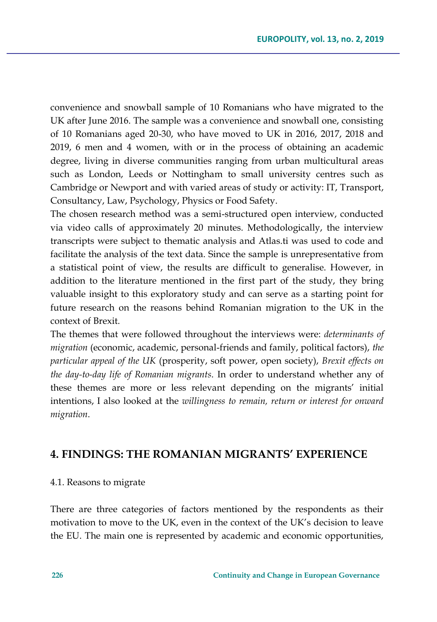convenience and snowball sample of 10 Romanians who have migrated to the UK after June 2016. The sample was a convenience and snowball one, consisting of 10 Romanians aged 20-30, who have moved to UK in 2016, 2017, 2018 and 2019, 6 men and 4 women, with or in the process of obtaining an academic degree, living in diverse communities ranging from urban multicultural areas such as London, Leeds or Nottingham to small university centres such as Cambridge or Newport and with varied areas of study or activity: IT, Transport, Consultancy, Law, Psychology, Physics or Food Safety.

The chosen research method was a semi-structured open interview, conducted via video calls of approximately 20 minutes. Methodologically, the interview transcripts were subject to thematic analysis and Atlas.ti was used to code and facilitate the analysis of the text data. Since the sample is unrepresentative from a statistical point of view, the results are difficult to generalise. However, in addition to the literature mentioned in the first part of the study, they bring valuable insight to this exploratory study and can serve as a starting point for future research on the reasons behind Romanian migration to the UK in the context of Brexit.

The themes that were followed throughout the interviews were: *determinants of migration* (economic, academic, personal-friends and family, political factors), *the particular appeal of the UK* (prosperity, soft power, open society), *Brexit effects on the day-to-day life of Romanian migrants*. In order to understand whether any of these themes are more or less relevant depending on the migrants' initial intentions, I also looked at the *willingness to remain, return or interest for onward migration*.

## **4. FINDINGS: THE ROMANIAN MIGRANTS' EXPERIENCE**

### 4.1. Reasons to migrate

There are three categories of factors mentioned by the respondents as their motivation to move to the UK, even in the context of the UK's decision to leave the EU. The main one is represented by academic and economic opportunities,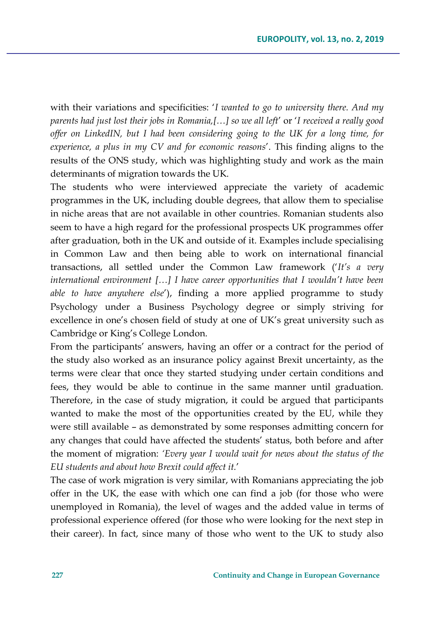with their variations and specificities: '*I wanted to go to university there. And my parents had just lost their jobs in Romania,[…] so we all left*' or '*I received a really good offer on LinkedIN, but I had been considering going to the UK for a long time, for experience, a plus in my CV and for economic reasons*'. This finding aligns to the results of the ONS study, which was highlighting study and work as the main determinants of migration towards the UK.

The students who were interviewed appreciate the variety of academic programmes in the UK, including double degrees, that allow them to specialise in niche areas that are not available in other countries. Romanian students also seem to have a high regard for the professional prospects UK programmes offer after graduation, both in the UK and outside of it. Examples include specialising in Common Law and then being able to work on international financial transactions, all settled under the Common Law framework ('*It's a very international environment […] I have career opportunities that I wouldn't have been able to have anywhere else*'), finding a more applied programme to study Psychology under a Business Psychology degree or simply striving for excellence in one's chosen field of study at one of UK's great university such as Cambridge or King's College London.

From the participants' answers, having an offer or a contract for the period of the study also worked as an insurance policy against Brexit uncertainty, as the terms were clear that once they started studying under certain conditions and fees, they would be able to continue in the same manner until graduation. Therefore, in the case of study migration, it could be argued that participants wanted to make the most of the opportunities created by the EU, while they were still available – as demonstrated by some responses admitting concern for any changes that could have affected the students' status, both before and after the moment of migration: *'Every year I would wait for news about the status of the EU students and about how Brexit could affect it.*'

The case of work migration is very similar, with Romanians appreciating the job offer in the UK, the ease with which one can find a job (for those who were unemployed in Romania), the level of wages and the added value in terms of professional experience offered (for those who were looking for the next step in their career). In fact, since many of those who went to the UK to study also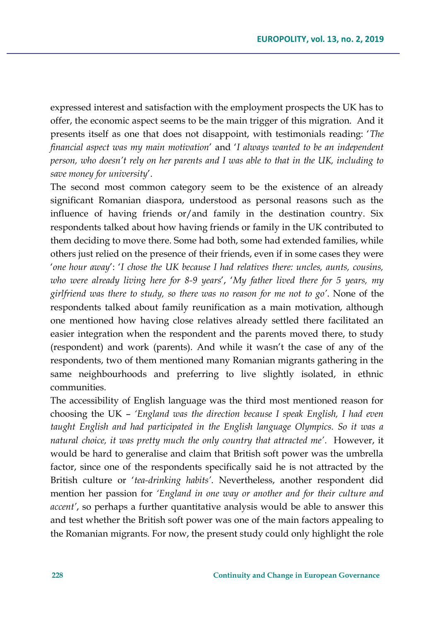expressed interest and satisfaction with the employment prospects the UK has to offer, the economic aspect seems to be the main trigger of this migration. And it presents itself as one that does not disappoint, with testimonials reading: '*The financial aspect was my main motivation*' and '*I always wanted to be an independent person, who doesn't rely on her parents and I was able to that in the UK, including to save money for university*'.

The second most common category seem to be the existence of an already significant Romanian diaspora, understood as personal reasons such as the influence of having friends or/and family in the destination country. Six respondents talked about how having friends or family in the UK contributed to them deciding to move there. Some had both, some had extended families, while others just relied on the presence of their friends, even if in some cases they were '*one hour away*': '*I chose the UK because I had relatives there: uncles, aunts, cousins, who were already living here for 8-9 years*', '*My father lived there for 5 years, my girlfriend was there to study, so there was no reason for me not to go'*. None of the respondents talked about family reunification as a main motivation, although one mentioned how having close relatives already settled there facilitated an easier integration when the respondent and the parents moved there, to study (respondent) and work (parents). And while it wasn't the case of any of the respondents, two of them mentioned many Romanian migrants gathering in the same neighbourhoods and preferring to live slightly isolated, in ethnic communities.

The accessibility of English language was the third most mentioned reason for choosing the UK – *'England was the direction because I speak English, I had even taught English and had participated in the English language Olympics. So it was a natural choice, it was pretty much the only country that attracted me'*. However, it would be hard to generalise and claim that British soft power was the umbrella factor, since one of the respondents specifically said he is not attracted by the British culture or '*tea-drinking habits'*. Nevertheless, another respondent did mention her passion for *'England in one way or another and for their culture and accent'*, so perhaps a further quantitative analysis would be able to answer this and test whether the British soft power was one of the main factors appealing to the Romanian migrants. For now, the present study could only highlight the role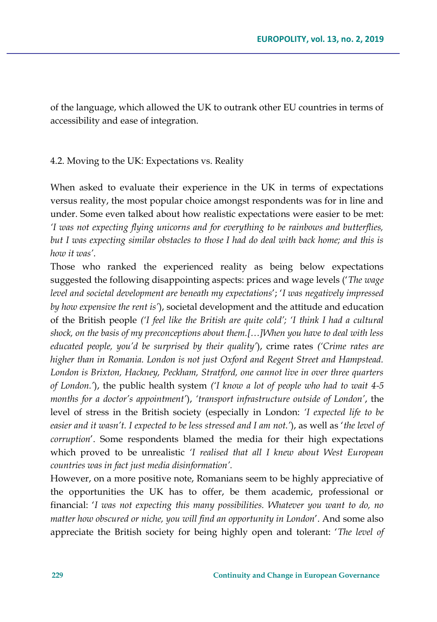of the language, which allowed the UK to outrank other EU countries in terms of accessibility and ease of integration.

4.2. Moving to the UK: Expectations vs. Reality

When asked to evaluate their experience in the UK in terms of expectations versus reality, the most popular choice amongst respondents was for in line and under. Some even talked about how realistic expectations were easier to be met: *'I was not expecting flying unicorns and for everything to be rainbows and butterflies, but I was expecting similar obstacles to those I had do deal with back home; and this is how it was'*.

Those who ranked the experienced reality as being below expectations suggested the following disappointing aspects: prices and wage levels ('*The wage level and societal development are beneath my expectations*'; '*I was negatively impressed by how expensive the rent is'*), societal development and the attitude and education of the British people *('I feel like the British are quite cold'; 'I think I had a cultural shock, on the basis of my preconceptions about them.[…]When you have to deal with less educated people, you'd be surprised by their quality'*), crime rates *('Crime rates are higher than in Romania. London is not just Oxford and Regent Street and Hampstead. London is Brixton, Hackney, Peckham, Stratford, one cannot live in over three quarters of London.'*), the public health system *('I know a lot of people who had to wait 4-5 months for a doctor's appointment'*), *'transport infrastructure outside of London'*, the level of stress in the British society (especially in London: *'I expected life to be easier and it wasn't. I expected to be less stressed and I am not.'*), as well as '*the level of corruption*'. Some respondents blamed the media for their high expectations which proved to be unrealistic *'I realised that all I knew about West European countries was in fact just media disinformation'.*

However, on a more positive note, Romanians seem to be highly appreciative of the opportunities the UK has to offer, be them academic, professional or financial: '*I was not expecting this many possibilities. Whatever you want to do, no matter how obscured or niche, you will find an opportunity in London*'. And some also appreciate the British society for being highly open and tolerant: '*The level of*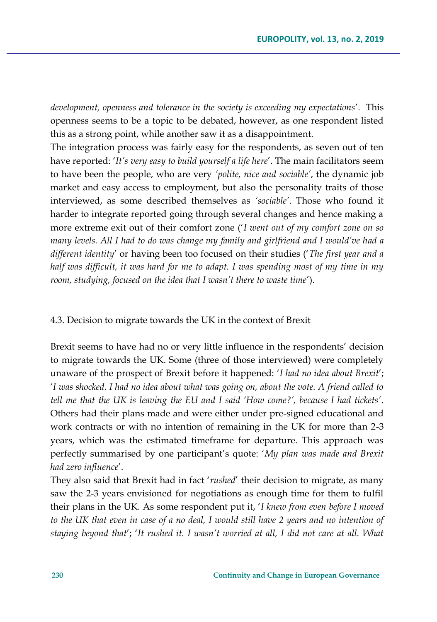*development, openness and tolerance in the society is exceeding my expectations*'. This openness seems to be a topic to be debated, however, as one respondent listed this as a strong point, while another saw it as a disappointment.

The integration process was fairly easy for the respondents, as seven out of ten have reported: '*It's very easy to build yourself a life here*'. The main facilitators seem to have been the people, who are very *'polite, nice and sociable'*, the dynamic job market and easy access to employment, but also the personality traits of those interviewed, as some described themselves as *'sociable'*. Those who found it harder to integrate reported going through several changes and hence making a more extreme exit out of their comfort zone ('*I went out of my comfort zone on so many levels. All I had to do was change my family and girlfriend and I would've had a different identity*' or having been too focused on their studies ('*The first year and a half was difficult, it was hard for me to adapt. I was spending most of my time in my room, studying, focused on the idea that I wasn't there to waste time*').

### 4.3. Decision to migrate towards the UK in the context of Brexit

Brexit seems to have had no or very little influence in the respondents' decision to migrate towards the UK. Some (three of those interviewed) were completely unaware of the prospect of Brexit before it happened: '*I had no idea about Brexit*'; '*I was shocked. I had no idea about what was going on, about the vote. A friend called to tell me that the UK is leaving the EU and I said 'How come?', because I had tickets'*. Others had their plans made and were either under pre-signed educational and work contracts or with no intention of remaining in the UK for more than 2-3 years, which was the estimated timeframe for departure. This approach was perfectly summarised by one participant's quote: '*My plan was made and Brexit had zero influence*'.

They also said that Brexit had in fact '*rushed*' their decision to migrate, as many saw the 2-3 years envisioned for negotiations as enough time for them to fulfil their plans in the UK. As some respondent put it, '*I knew from even before I moved*  to the UK that even in case of a no deal, I would still have 2 years and no intention of *staying beyond that*'; '*It rushed it. I wasn't worried at all, I did not care at all. What*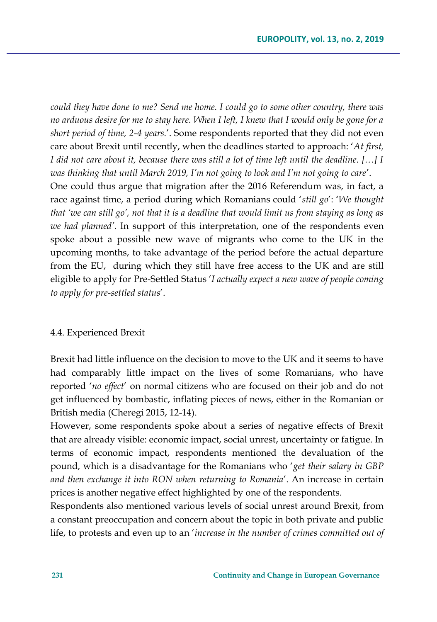*could they have done to me? Send me home. I could go to some other country, there was no arduous desire for me to stay here. When I left, I knew that I would only be gone for a short period of time, 2-4 years.*'. Some respondents reported that they did not even care about Brexit until recently, when the deadlines started to approach: '*At first, I did not care about it, because there was still a lot of time left until the deadline. […] I was thinking that until March 2019, I'm not going to look and I'm not going to care*'.

One could thus argue that migration after the 2016 Referendum was, in fact, a race against time, a period during which Romanians could '*still go*': '*We thought that 'we can still go', not that it is a deadline that would limit us from staying as long as we had planned'*. In support of this interpretation, one of the respondents even spoke about a possible new wave of migrants who come to the UK in the upcoming months, to take advantage of the period before the actual departure from the EU, during which they still have free access to the UK and are still eligible to apply for Pre-Settled Status '*I actually expect a new wave of people coming to apply for pre-settled status*'.

#### 4.4. Experienced Brexit

Brexit had little influence on the decision to move to the UK and it seems to have had comparably little impact on the lives of some Romanians, who have reported '*no effect*' on normal citizens who are focused on their job and do not get influenced by bombastic, inflating pieces of news, either in the Romanian or British media (Cheregi 2015, 12-14).

However, some respondents spoke about a series of negative effects of Brexit that are already visible: economic impact, social unrest, uncertainty or fatigue. In terms of economic impact, respondents mentioned the devaluation of the pound, which is a disadvantage for the Romanians who '*get their salary in GBP and then exchange it into RON when returning to Romania*'. An increase in certain prices is another negative effect highlighted by one of the respondents.

Respondents also mentioned various levels of social unrest around Brexit, from a constant preoccupation and concern about the topic in both private and public life, to protests and even up to an '*increase in the number of crimes committed out of*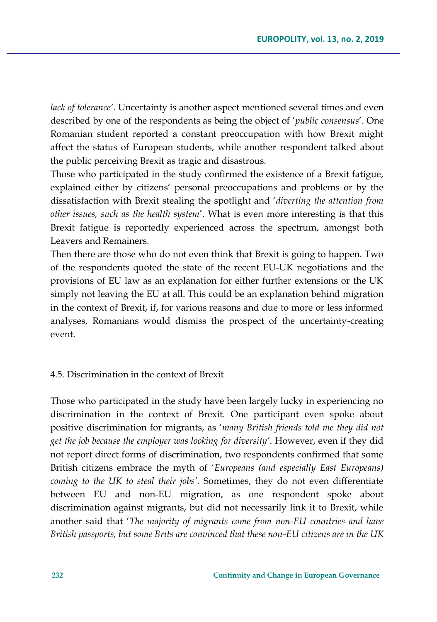*lack of tolerance'*. Uncertainty is another aspect mentioned several times and even described by one of the respondents as being the object of '*public consensus*'. One Romanian student reported a constant preoccupation with how Brexit might affect the status of European students, while another respondent talked about the public perceiving Brexit as tragic and disastrous.

Those who participated in the study confirmed the existence of a Brexit fatigue, explained either by citizens' personal preoccupations and problems or by the dissatisfaction with Brexit stealing the spotlight and '*diverting the attention from other issues, such as the health system*'. What is even more interesting is that this Brexit fatigue is reportedly experienced across the spectrum, amongst both Leavers and Remainers.

Then there are those who do not even think that Brexit is going to happen. Two of the respondents quoted the state of the recent EU-UK negotiations and the provisions of EU law as an explanation for either further extensions or the UK simply not leaving the EU at all. This could be an explanation behind migration in the context of Brexit, if, for various reasons and due to more or less informed analyses, Romanians would dismiss the prospect of the uncertainty-creating event.

### 4.5. Discrimination in the context of Brexit

Those who participated in the study have been largely lucky in experiencing no discrimination in the context of Brexit. One participant even spoke about positive discrimination for migrants, as '*many British friends told me they did not get the job because the employer was looking for diversity'*. However, even if they did not report direct forms of discrimination, two respondents confirmed that some British citizens embrace the myth of '*Europeans (and especially East Europeans) coming to the UK to steal their jobs'*. Sometimes, they do not even differentiate between EU and non-EU migration, as one respondent spoke about discrimination against migrants, but did not necessarily link it to Brexit, while another said that '*The majority of migrants come from non-EU countries and have British passports, but some Brits are convinced that these non-EU citizens are in the UK*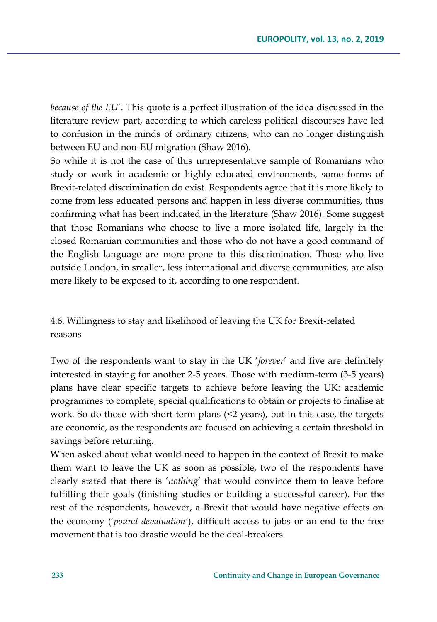*because of the EU*'. This quote is a perfect illustration of the idea discussed in the literature review part, according to which careless political discourses have led to confusion in the minds of ordinary citizens, who can no longer distinguish between EU and non-EU migration (Shaw 2016).

So while it is not the case of this unrepresentative sample of Romanians who study or work in academic or highly educated environments, some forms of Brexit-related discrimination do exist. Respondents agree that it is more likely to come from less educated persons and happen in less diverse communities, thus confirming what has been indicated in the literature (Shaw 2016). Some suggest that those Romanians who choose to live a more isolated life, largely in the closed Romanian communities and those who do not have a good command of the English language are more prone to this discrimination. Those who live outside London, in smaller, less international and diverse communities, are also more likely to be exposed to it, according to one respondent.

4.6. Willingness to stay and likelihood of leaving the UK for Brexit-related reasons

Two of the respondents want to stay in the UK '*forever*' and five are definitely interested in staying for another 2-5 years. Those with medium-term (3-5 years) plans have clear specific targets to achieve before leaving the UK: academic programmes to complete, special qualifications to obtain or projects to finalise at work. So do those with short-term plans  $(2 \text{ years})$ , but in this case, the targets are economic, as the respondents are focused on achieving a certain threshold in savings before returning.

When asked about what would need to happen in the context of Brexit to make them want to leave the UK as soon as possible, two of the respondents have clearly stated that there is '*nothing*' that would convince them to leave before fulfilling their goals (finishing studies or building a successful career). For the rest of the respondents, however, a Brexit that would have negative effects on the economy ('*pound devaluation'*), difficult access to jobs or an end to the free movement that is too drastic would be the deal-breakers.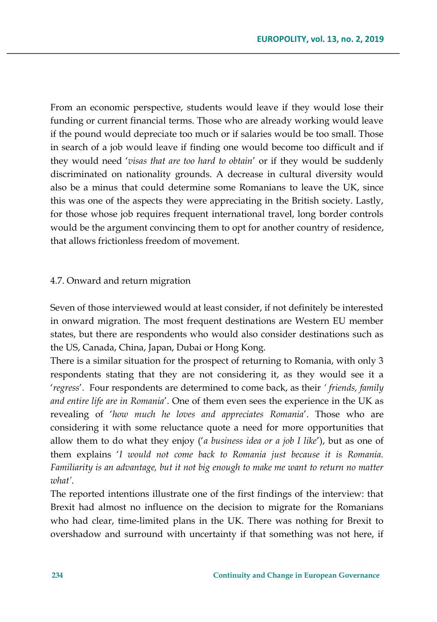From an economic perspective, students would leave if they would lose their funding or current financial terms. Those who are already working would leave if the pound would depreciate too much or if salaries would be too small. Those in search of a job would leave if finding one would become too difficult and if they would need '*visas that are too hard to obtain*' or if they would be suddenly discriminated on nationality grounds. A decrease in cultural diversity would also be a minus that could determine some Romanians to leave the UK, since this was one of the aspects they were appreciating in the British society. Lastly, for those whose job requires frequent international travel, long border controls would be the argument convincing them to opt for another country of residence, that allows frictionless freedom of movement.

### 4.7. Onward and return migration

Seven of those interviewed would at least consider, if not definitely be interested in onward migration. The most frequent destinations are Western EU member states, but there are respondents who would also consider destinations such as the US, Canada, China, Japan, Dubai or Hong Kong.

There is a similar situation for the prospect of returning to Romania, with only 3 respondents stating that they are not considering it, as they would see it a '*regress*'. Four respondents are determined to come back, as their *' friends, family and entire life are in Romania*'. One of them even sees the experience in the UK as revealing of '*how much he loves and appreciates Romania*'. Those who are considering it with some reluctance quote a need for more opportunities that allow them to do what they enjoy ('*a business idea or a job I like*'), but as one of them explains '*I would not come back to Romania just because it is Romania. Familiarity is an advantage, but it not big enough to make me want to return no matter what'*.

The reported intentions illustrate one of the first findings of the interview: that Brexit had almost no influence on the decision to migrate for the Romanians who had clear, time-limited plans in the UK. There was nothing for Brexit to overshadow and surround with uncertainty if that something was not here, if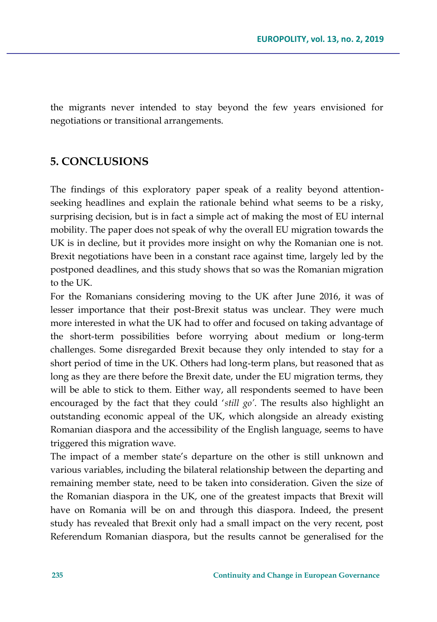the migrants never intended to stay beyond the few years envisioned for negotiations or transitional arrangements.

### **5. CONCLUSIONS**

The findings of this exploratory paper speak of a reality beyond attentionseeking headlines and explain the rationale behind what seems to be a risky, surprising decision, but is in fact a simple act of making the most of EU internal mobility. The paper does not speak of why the overall EU migration towards the UK is in decline, but it provides more insight on why the Romanian one is not. Brexit negotiations have been in a constant race against time, largely led by the postponed deadlines, and this study shows that so was the Romanian migration to the UK.

For the Romanians considering moving to the UK after June 2016, it was of lesser importance that their post-Brexit status was unclear. They were much more interested in what the UK had to offer and focused on taking advantage of the short-term possibilities before worrying about medium or long-term challenges. Some disregarded Brexit because they only intended to stay for a short period of time in the UK. Others had long-term plans, but reasoned that as long as they are there before the Brexit date, under the EU migration terms, they will be able to stick to them. Either way, all respondents seemed to have been encouraged by the fact that they could '*still go'*. The results also highlight an outstanding economic appeal of the UK, which alongside an already existing Romanian diaspora and the accessibility of the English language, seems to have triggered this migration wave.

The impact of a member state's departure on the other is still unknown and various variables, including the bilateral relationship between the departing and remaining member state, need to be taken into consideration. Given the size of the Romanian diaspora in the UK, one of the greatest impacts that Brexit will have on Romania will be on and through this diaspora. Indeed, the present study has revealed that Brexit only had a small impact on the very recent, post Referendum Romanian diaspora, but the results cannot be generalised for the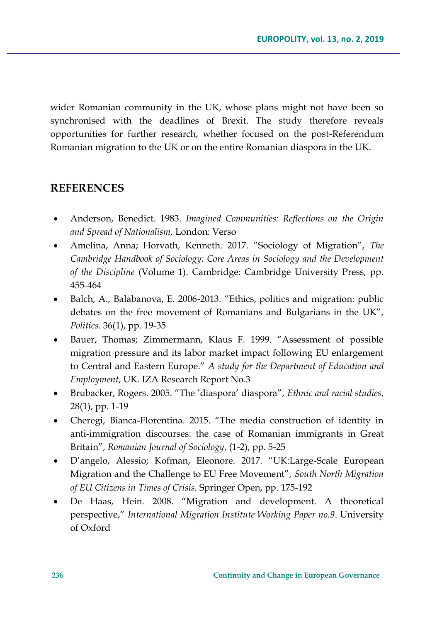wider Romanian community in the UK, whose plans might not have been so synchronised with the deadlines of Brexit. The study therefore reveals opportunities for further research, whether focused on the post-Referendum Romanian migration to the UK or on the entire Romanian diaspora in the UK.

# **REFERENCES**

- Anderson, Benedict. 1983. *Imagined Communities: Reflections on the Origin and Spread of Nationalism,* London: Verso
- Amelina, Anna; Horvath, Kenneth. 2017. "Sociology of Migration", *The Cambridge Handbook of Sociology: Core Areas in Sociology and the Development of the Discipline* (Volume 1). Cambridge: Cambridge University Press, pp. 455-464
- Balch, A., Balabanova, E. 2006-2013. "Ethics, politics and migration: public debates on the free movement of Romanians and Bulgarians in the UK", *Politics*. 36(1), pp. 19-35
- Bauer, Thomas; Zimmermann, Klaus F. 1999. "Assessment of possible migration pressure and its labor market impact following EU enlargement to Central and Eastern Europe." *A study for the Department of Education and Employment*, UK. IZA Research Report No.3
- Brubacker, Rogers. 2005. "The 'diaspora' diaspora", *Ethnic and racial studies*, 28(1), pp. 1-19
- Cheregi, Bianca-Florentina. 2015. "The media construction of identity in anti-immigration discourses: the case of Romanian immigrants in Great Britain", *Romanian Journal of Sociology*, (1-2), pp. 5-25
- D'angelo, Alessio; Kofman, Eleonore. 2017. "UK:Large-Scale European Migration and the Challenge to EU Free Movement", *South North Migration of EU Citizens in Times of Crisis*. Springer Open, pp. 175-192
- De Haas, Hein. 2008. "Migration and development. A theoretical perspective," *International Migration Institute Working Paper no.9*. University of Oxford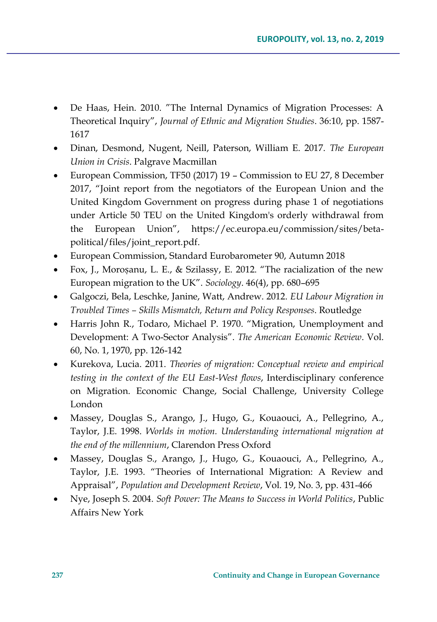- De Haas, Hein. 2010. "The Internal Dynamics of Migration Processes: A Theoretical Inquiry", *Journal of Ethnic and Migration Studies*. 36:10, pp. 1587- 1617
- Dinan, Desmond, Nugent, Neill, Paterson, William E. 2017. *The European Union in Crisis*. Palgrave Macmillan
- European Commission, TF50 (2017) 19 Commission to EU 27, 8 December 2017, "Joint report from the negotiators of the European Union and the United Kingdom Government on progress during phase 1 of negotiations under Article 50 TEU on the United Kingdom's orderly withdrawal from the European Union", [https://ec.europa.eu/commission/sites/beta](https://ec.europa.eu/commission/sites/beta-political/files/joint_report.pdf)[political/files/joint\\_report.pdf.](https://ec.europa.eu/commission/sites/beta-political/files/joint_report.pdf)
- European Commission, Standard Eurobarometer 90, Autumn 2018
- Fox, J., Moroṣanu, L. E., & Szilassy, E. 2012. "The racialization of the new European migration to the UK". *Sociology*. 46(4), pp. 680–695
- Galgoczi, Bela, Leschke, Janine, Watt, Andrew. 2012. *EU Labour Migration in Troubled Times – Skills Mismatch, Return and Policy Responses*. Routledge
- Harris John R., Todaro, Michael P. 1970. "Migration, Unemployment and Development: A Two-Sector Analysis". *The American Economic Review*. Vol. 60, No. 1, 1970, pp. 126-142
- Kurekova, Lucia. 2011. *Theories of migration: Conceptual review and empirical testing in the context of the EU East-West flows*, Interdisciplinary conference on Migration. Economic Change, Social Challenge, University College London
- Massey, Douglas S., Arango, J., Hugo, G., Kouaouci, A., Pellegrino, A., Taylor, J.E. 1998. *Worlds in motion. Understanding international migration at the end of the millennium*, Clarendon Press Oxford
- Massey, Douglas S., Arango, J., Hugo, G., Kouaouci, A., Pellegrino, A., Taylor, J.E. 1993. "Theories of International Migration: A Review and Appraisal", *Population and Development Review*, Vol. 19, No. 3, pp. 431-466
- Nye, Joseph S. 2004. *Soft Power: The Means to Success in World Politics*, Public Affairs New York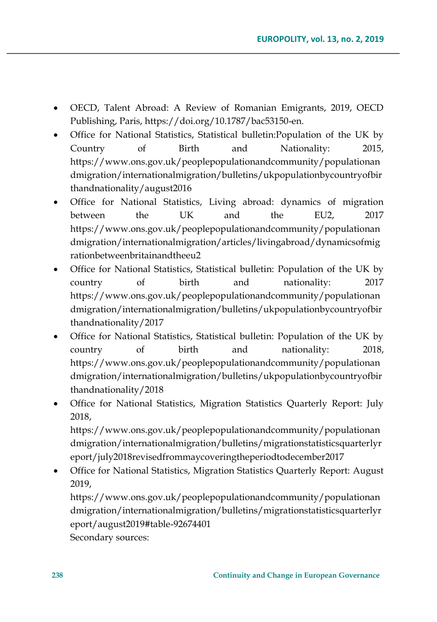- OECD, Talent Abroad: A Review of Romanian Emigrants, 2019, OECD Publishing, Paris, [https://doi.org/10.1787/bac53150-en.](https://doi.org/10.1787/bac53150-en)
- Office for National Statistics, Statistical bulletin:Population of the UK by Country of Birth and Nationality: 2015, [https://www.ons.gov.uk/peoplepopulationandcommunity/populationan](https://www.ons.gov.uk/peoplepopulationandcommunity/populationandmigration/internationalmigration/bulletins/ukpopulationbycountryofbirthandnationality/august2016) [dmigration/internationalmigration/bulletins/ukpopulationbycountryofbir](https://www.ons.gov.uk/peoplepopulationandcommunity/populationandmigration/internationalmigration/bulletins/ukpopulationbycountryofbirthandnationality/august2016) [thandnationality/august2016](https://www.ons.gov.uk/peoplepopulationandcommunity/populationandmigration/internationalmigration/bulletins/ukpopulationbycountryofbirthandnationality/august2016)
- Office for National Statistics, Living abroad: dynamics of migration between the UK and the EU2, 2017 [https://www.ons.gov.uk/peoplepopulationandcommunity/populationan](https://www.ons.gov.uk/peoplepopulationandcommunity/populationandmigration/internationalmigration/articles/livingabroad/dynamicsofmigrationbetweenbritainandtheeu2) [dmigration/internationalmigration/articles/livingabroad/dynamicsofmig](https://www.ons.gov.uk/peoplepopulationandcommunity/populationandmigration/internationalmigration/articles/livingabroad/dynamicsofmigrationbetweenbritainandtheeu2) [rationbetweenbritainandtheeu2](https://www.ons.gov.uk/peoplepopulationandcommunity/populationandmigration/internationalmigration/articles/livingabroad/dynamicsofmigrationbetweenbritainandtheeu2)
- Office for National Statistics, Statistical bulletin: Population of the UK by country of birth and nationality: 2017 [https://www.ons.gov.uk/peoplepopulationandcommunity/populationan](https://www.ons.gov.uk/peoplepopulationandcommunity/populationandmigration/internationalmigration/bulletins/ukpopulationbycountryofbirthandnationality/2017) [dmigration/internationalmigration/bulletins/ukpopulationbycountryofbir](https://www.ons.gov.uk/peoplepopulationandcommunity/populationandmigration/internationalmigration/bulletins/ukpopulationbycountryofbirthandnationality/2017) [thandnationality/2017](https://www.ons.gov.uk/peoplepopulationandcommunity/populationandmigration/internationalmigration/bulletins/ukpopulationbycountryofbirthandnationality/2017)
- Office for National Statistics, Statistical bulletin: Population of the UK by country of birth and nationality: 2018, [https://www.ons.gov.uk/peoplepopulationandcommunity/populationan](https://www.ons.gov.uk/peoplepopulationandcommunity/populationandmigration/internationalmigration/bulletins/ukpopulationbycountryofbirthandnationality/2018) [dmigration/internationalmigration/bulletins/ukpopulationbycountryofbir](https://www.ons.gov.uk/peoplepopulationandcommunity/populationandmigration/internationalmigration/bulletins/ukpopulationbycountryofbirthandnationality/2018) [thandnationality/2018](https://www.ons.gov.uk/peoplepopulationandcommunity/populationandmigration/internationalmigration/bulletins/ukpopulationbycountryofbirthandnationality/2018)
- Office for National Statistics, Migration Statistics Quarterly Report: July 2018,

[https://www.ons.gov.uk/peoplepopulationandcommunity/populationan](https://www.ons.gov.uk/peoplepopulationandcommunity/populationandmigration/internationalmigration/bulletins/migrationstatisticsquarterlyreport/july2018revisedfrommaycoveringtheperiodtodecember2017) [dmigration/internationalmigration/bulletins/migrationstatisticsquarterlyr](https://www.ons.gov.uk/peoplepopulationandcommunity/populationandmigration/internationalmigration/bulletins/migrationstatisticsquarterlyreport/july2018revisedfrommaycoveringtheperiodtodecember2017) [eport/july2018revisedfrommaycoveringtheperiodtodecember2017](https://www.ons.gov.uk/peoplepopulationandcommunity/populationandmigration/internationalmigration/bulletins/migrationstatisticsquarterlyreport/july2018revisedfrommaycoveringtheperiodtodecember2017)

 Office for National Statistics, Migration Statistics Quarterly Report: August 2019,

[https://www.ons.gov.uk/peoplepopulationandcommunity/populationan](https://www.ons.gov.uk/peoplepopulationandcommunity/populationandmigration/internationalmigration/bulletins/migrationstatisticsquarterlyreport/august2019#table-92674401) [dmigration/internationalmigration/bulletins/migrationstatisticsquarterlyr](https://www.ons.gov.uk/peoplepopulationandcommunity/populationandmigration/internationalmigration/bulletins/migrationstatisticsquarterlyreport/august2019#table-92674401) [eport/august2019#table-92674401](https://www.ons.gov.uk/peoplepopulationandcommunity/populationandmigration/internationalmigration/bulletins/migrationstatisticsquarterlyreport/august2019#table-92674401)

Secondary sources: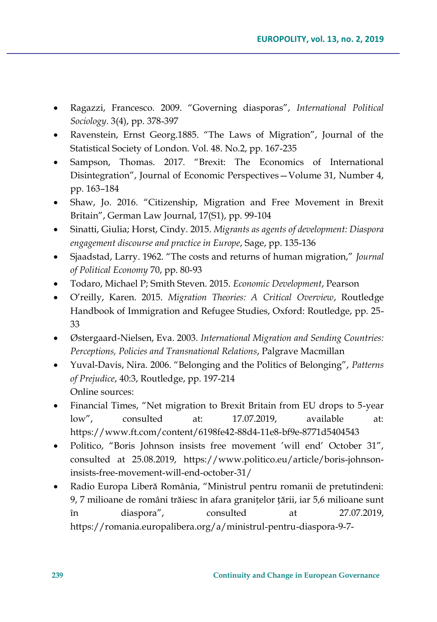- Ragazzi, Francesco. 2009. "Governing diasporas", *International Political Sociology*. 3(4), pp. 378-397
- Ravenstein, Ernst Georg.1885. "The Laws of Migration", Journal of the Statistical Society of London. Vol. 48. No.2, pp. 167-235
- Sampson, Thomas. 2017. "Brexit: The Economics of International Disintegration", Journal of Economic Perspectives—Volume 31, Number 4, pp. 163–184
- Shaw, Jo. 2016. "Citizenship, Migration and Free Movement in Brexit Britain", German Law Journal, 17(S1), pp. 99-104
- Sinatti, Giulia; Horst, Cindy. 2015. *Migrants as agents of development: Diaspora engagement discourse and practice in Europe*, Sage, pp. 135-136
- Sjaadstad, Larry. 1962. "The costs and returns of human migration," *Journal of Political Economy* 70, pp. 80-93
- Todaro, Michael P; Smith Steven. 2015. *Economic Development*, Pearson
- O'reilly, Karen. 2015. *Migration Theories: A Critical Overview*, Routledge Handbook of Immigration and Refugee Studies, Oxford: Routledge, pp. 25- 33
- Østergaard-Nielsen, Eva. 2003. *International Migration and Sending Countries: Perceptions, Policies and Transnational Relations*, Palgrave Macmillan
- Yuval-Davis, Nira. 2006. "Belonging and the Politics of Belonging", *Patterns of Prejudice*, 40:3, Routledge, pp. 197-214 Online sources:
- Financial Times, "Net migration to Brexit Britain from EU drops to 5-year low", consulted at: 17.07.2019, available at: <https://www.ft.com/content/6198fe42-88d4-11e8-bf9e-8771d5404543>
- Politico, "Boris Johnson insists free movement 'will end' October 31", consulted at 25.08.2019, [https://www.politico.eu/article/boris-johnson](https://www.politico.eu/article/boris-johnson-insists-free-movement-will-end-october-31/)[insists-free-movement-will-end-october-31/](https://www.politico.eu/article/boris-johnson-insists-free-movement-will-end-october-31/)
- Radio Europa Liberă România, "Ministrul pentru romanii de pretutindeni: 9, 7 milioane de români trăiesc în afara granițelor țării, iar 5,6 milioane sunt în diaspora", consulted at 27.07.2019, [https://romania.europalibera.org/a/ministrul-pentru-diaspora-9-7-](https://romania.europalibera.org/a/ministrul-pentru-diaspora-9-7-milioane-de-romani-traiesc-in-afara-granitelor-tarii-iar-mai-mult-de-jumatate-sunt-in-diaspora/30073056.html)